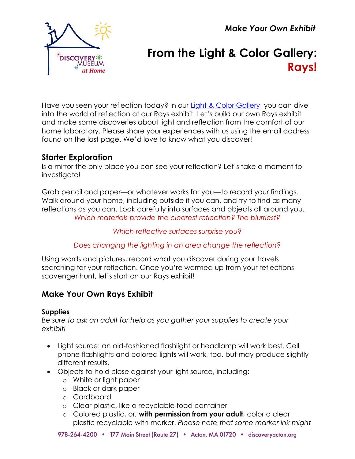*Make Your Own Exhibit*



# **From the Light & Color Gallery: Rays!**

Have you seen your reflection today? In our [Light & Color Gallery,](https://www.discoveryacton.org/exhibit/light-color-gallery) you can dive into the world of reflection at our Rays exhibit. Let's build our own Rays exhibit and make some discoveries about light and reflection from the comfort of our home laboratory. Please share your experiences with us using the email address found on the last page. We'd love to know what you discover!

# **Starter Exploration**

Is a mirror the only place you can see your reflection? Let's take a moment to investigate!

Grab pencil and paper—or whatever works for you—to record your findings. Walk around your home, including outside if you can, and try to find as many reflections as you can. Look carefully into surfaces and objects all around you. *Which materials provide the clearest reflection? The blurriest?*

## *Which reflective surfaces surprise you?*

# *Does changing the lighting in an area change the reflection?*

Using words and pictures, record what you discover during your travels searching for your reflection. Once you're warmed up from your reflections scavenger hunt, let's start on our Rays exhibit!

# **Make Your Own Rays Exhibit**

## **Supplies**

*Be sure to ask an adult for help as you gather your supplies to create your exhibit!*

- Light source: an old-fashioned flashlight or headlamp will work best. Cell phone flashlights and colored lights will work, too, but may produce slightly different results.
- Objects to hold close against your light source, including:
	- o White or light paper
	- o Black or dark paper
	- o Cardboard
	- o Clear plastic, like a recyclable food container
	- o Colored plastic, or, **with permission from your adult**, color a clear plastic recyclable with marker. *Please note that some marker ink might*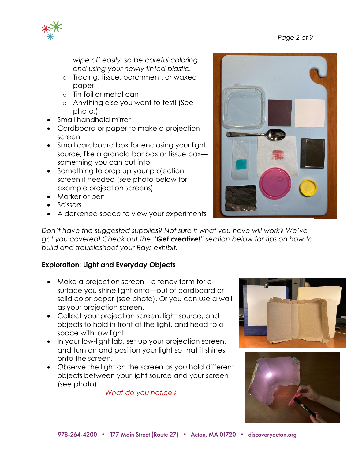

*wipe off easily, so be careful coloring and using your newly tinted plastic.*

- o Tracing, tissue, parchment, or waxed paper
- o Tin foil or metal can
- o Anything else you want to test! (See photo.)
- Small handheld mirror
- Cardboard or paper to make a projection screen
- Small cardboard box for enclosing your light source, like a granola bar box or tissue box something you can cut into
- Something to prop up your projection screen if needed (see photo below for example projection screens)
- Marker or pen
- Scissors
- A darkened space to view your experiments

*Don't have the suggested supplies? Not sure if what you have will work? We've got you covered! Check out the "Get creative!" section below for tips on how to build and troubleshoot your Rays exhibit.*

# **Exploration: Light and Everyday Objects**

- Make a projection screen—a fancy term for a surface you shine light onto—out of cardboard or solid color paper (see photo). Or you can use a wall as your projection screen.
- Collect your projection screen, light source, and objects to hold in front of the light, and head to a space with low light.
- In your low-light lab, set up your projection screen, and turn on and position your light so that it shines onto the screen.
- Observe the light on the screen as you hold different objects between your light source and your screen (see photo).

*What do you notice?*





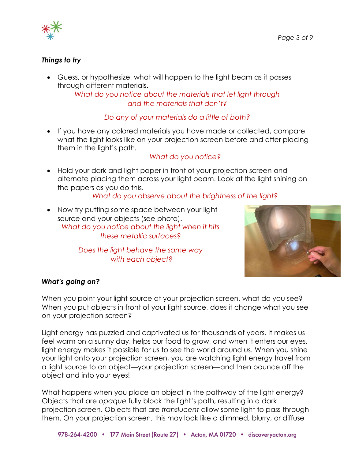

## *Things to try*

• Guess, or hypothesize, what will happen to the light beam as it passes through different materials.

*What do you notice about the materials that let light through and the materials that don't?*

#### *Do any of your materials do a little of both?*

• If you have any colored materials you have made or collected, compare what the light looks like on your projection screen before and after placing them in the light's path*.*

#### *What do you notice?*

• Hold your dark and light paper in front of your projection screen and alternate placing them across your light beam. Look at the light shining on the papers as you do this.

#### *What do you observe about the brightness of the light?*

• Now try putting some space between your light source and your objects (see photo). *What do you notice about the light when it hits these metallic surfaces?* 

> *Does the light behave the same way with each object?*



#### *What's going on?*

When you point your light source at your projection screen, what do you see? When you put objects in front of your light source, does it change what you see on your projection screen?

Light energy has puzzled and captivated us for thousands of years. It makes us feel warm on a sunny day, helps our food to grow, and when it enters our eyes, light energy makes it possible for us to see the world around us. When you shine your light onto your projection screen, you are watching light energy travel from a light source to an object—your projection screen—and then bounce off the object and into your eyes!

What happens when you place an object in the pathway of the light energy? Objects that are *opaque* fully block the light's path, resulting in a dark projection screen. Objects that are *translucent* allow some light to pass through them. On your projection screen, this may look like a dimmed, blurry, or diffuse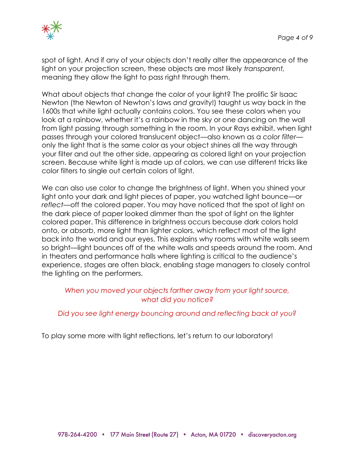

spot of light. And if any of your objects don't really alter the appearance of the light on your projection screen, these objects are most likely *transparent,*  meaning they allow the light to pass right through them.

What about objects that change the color of your light? The prolific Sir Isaac Newton (the Newton of Newton's laws *and* gravity!) taught us way back in the 1600s that white light actually contains colors. You see these colors when you look at a rainbow, whether it's a rainbow in the sky or one dancing on the wall from light passing through something in the room. In your Rays exhibit, when light passes through your colored translucent object—also known as a *color filter* only the light that is the same color as your object shines all the way through your filter and out the other side, appearing as colored light on your projection screen. Because white light is made up of colors, we can use different tricks like color filters to single out certain colors of light.

We can also use color to change the brightness of light. When you shined your light onto your dark and light pieces of paper, you watched light bounce—or *reflect—*off the colored paper. You may have noticed that the spot of light on the dark piece of paper looked dimmer than the spot of light on the lighter colored paper. This difference in brightness occurs because dark colors hold onto, or *absorb*, more light than lighter colors, which reflect most of the light back into the world and our eyes. This explains why rooms with white walls seem so bright—light bounces off of the white walls and speeds around the room. And in theaters and performance halls where lighting is critical to the audience's experience, stages are often black, enabling stage managers to closely control the lighting on the performers.

#### *When you moved your objects farther away from your light source, what did you notice?*

#### *Did you see light energy bouncing around and reflecting back at you?*

To play some more with light reflections, let's return to our laboratory!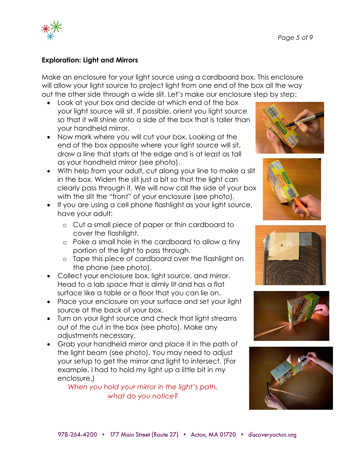

#### **Exploration: Light and Mirrors**

Make an enclosure for your light source using a cardboard box. This enclosure will allow your light source to project light from one end of the box all the way out the other side through a wide slit. Let's make our enclosure step by step:

- Look at your box and decide at which end of the box your light source will sit. If possible, orient you light source so that it will shine onto a side of the box that is taller than your handheld mirror.
- Now mark where you will cut your box. Looking at the end of the box opposite where your light source will sit, draw a line that starts at the edge and is at least as tall as your handheld mirror (see photo).
- With help from your adult, cut along your line to make a slit in the box. Widen the slit just a bit so that the light can clearly pass through it. We will now call the side of your box with the slit the "front" of your enclosure (see photo).
- If you are using a cell phone flashlight as your light source, have your adult:
	- o Cut a small piece of paper or thin cardboard to cover the flashlight.
	- o Poke a small hole in the cardboard to allow a tiny portion of the light to pass through.
	- o Tape this piece of cardboard over the flashlight on the phone (see photo).
- Collect your enclosure box, light source, and mirror. Head to a lab space that is dimly lit and has a flat surface like a table or a floor that you can lie on.
- Place your enclosure on your surface and set your light source at the back of your box.
- Turn on your light source and check that light streams out of the cut in the box (see photo). Make any adjustments necessary.
- Grab your handheld mirror and place it in the path of the light beam (see photo). You may need to adjust your setup to get the mirror and light to intersect. (For example, I had to hold my light up a little bit in my enclosure.)

*When you hold your mirror in the light's path, what do you notice?*









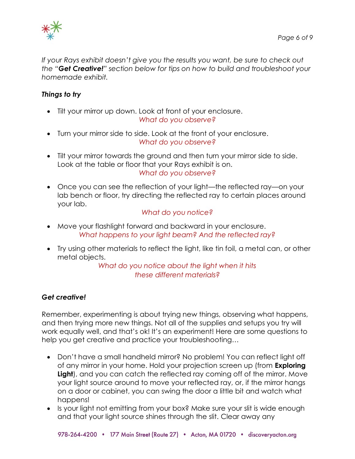

*If your Rays exhibit doesn't give you the results you want, be sure to check out the "Get Creative!" section below for tips on how to build and troubleshoot your homemade exhibit.*

#### *Things to try*

- Tilt your mirror up down. Look at front of your enclosure. *What do you observe?*
- Turn your mirror side to side. Look at the front of your enclosure. *What do you observe?*
- Tilt your mirror towards the ground and then turn your mirror side to side. Look at the table or floor that your Rays exhibit is on. *What do you observe?*
- Once you can see the reflection of your light—the reflected ray—on your lab bench or floor, try directing the reflected ray to certain places around your lab.

#### *What do you notice?*

- Move your flashlight forward and backward in your enclosure. *What happens to your light beam? And the reflected ray?*
- Try using other materials to reflect the light, like tin foil, a metal can, or other metal objects.

*What do you notice about the light when it hits these different materials?*

#### *Get creative!*

Remember, experimenting is about trying new things, observing what happens, and then trying more new things. Not all of the supplies and setups you try will work equally well, and that's ok! It's an experiment! Here are some questions to help you get creative and practice your troubleshooting…

- Don't have a small handheld mirror? No problem! You can reflect light off of any mirror in your home. Hold your projection screen up (from **Exploring**  Light), and you can catch the reflected ray coming off of the mirror. Move your light source around to move your reflected ray, or, if the mirror hangs on a door or cabinet, you can swing the door a little bit and watch what happens!
- Is your light not emitting from your box? Make sure your slit is wide enough and that your light source shines through the slit. Clear away any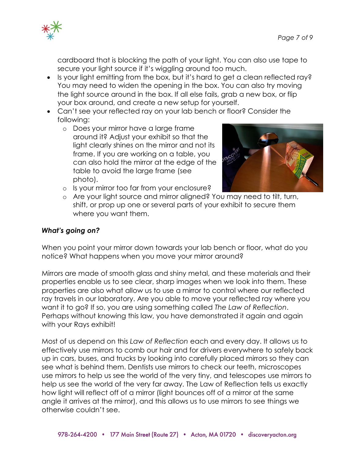

cardboard that is blocking the path of your light. You can also use tape to secure your light source if it's wiggling around too much.

- Is your light emitting from the box, but it's hard to get a clean reflected ray? You may need to widen the opening in the box. You can also try moving the light source around in the box. If all else fails, grab a new box, or flip your box around, and create a new setup for yourself.
- Can't see your reflected ray on your lab bench or floor? Consider the following:
	- o Does your mirror have a large frame around it? Adjust your exhibit so that the light clearly shines on the mirror and not its frame. If you are working on a table, you can also hold the mirror at the edge of the table to avoid the large frame (see photo).



- o Is your mirror too far from your enclosure?
- o Are your light source and mirror aligned? You may need to tilt, turn, shift, or prop up one or several parts of your exhibit to secure them where you want them.

#### *What's going on?*

When you point your mirror down towards your lab bench or floor, what do you notice? What happens when you move your mirror around?

Mirrors are made of smooth glass and shiny metal, and these materials and their properties enable us to see clear, sharp images when we look into them. These properties are also what allow us to use a mirror to control where our reflected ray travels in our laboratory. Are you able to move your reflected ray where you want it to go? If so, you are using something called *The Law of Reflection*. Perhaps without knowing this law, you have demonstrated it again and again with your Rays exhibit!

Most of us depend on this *Law of Reflection* each and every day. It allows us to effectively use mirrors to comb our hair and for drivers everywhere to safely back up in cars, buses, and trucks by looking into carefully placed mirrors so they can see what is behind them. Dentists use mirrors to check our teeth, microscopes use mirrors to help us see the world of the very tiny, and telescopes use mirrors to help us see the world of the very far away. The Law of Reflection tells us exactly how light will reflect off of a mirror (light bounces off of a mirror at the same angle it arrives at the mirror), and this allows us to use mirrors to see things we otherwise couldn't see.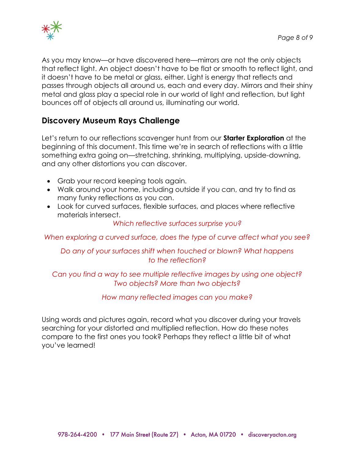

As you may know—or have discovered here—mirrors are not the only objects that reflect light. An object doesn't have to be flat or smooth to reflect light, and it doesn't have to be metal or glass, either. Light is energy that reflects and passes through objects all around us, each and every day. Mirrors and their shiny metal and glass play a special role in our world of light and reflection, but light bounces off of objects all around us, illuminating our world.

# **Discovery Museum Rays Challenge**

Let's return to our reflections scavenger hunt from our **Starter Exploration** at the beginning of this document. This time we're in search of reflections with a little something extra going on—stretching, shrinking, multiplying, upside-downing, and any other distortions you can discover.

- Grab your record keeping tools again.
- Walk around your home, including outside if you can, and try to find as many funky reflections as you can.
- Look for curved surfaces, flexible surfaces, and places where reflective materials intersect.

*Which reflective surfaces surprise you?*

*When exploring a curved surface, does the type of curve affect what you see?*

## *Do any of your surfaces shift when touched or blown? What happens to the reflection?*

## *Can you find a way to see multiple reflective images by using one object? Two objects? More than two objects?*

#### *How many reflected images can you make?*

Using words and pictures again, record what you discover during your travels searching for your distorted and multiplied reflection. How do these notes compare to the first ones you took? Perhaps they reflect a little bit of what you've learned!